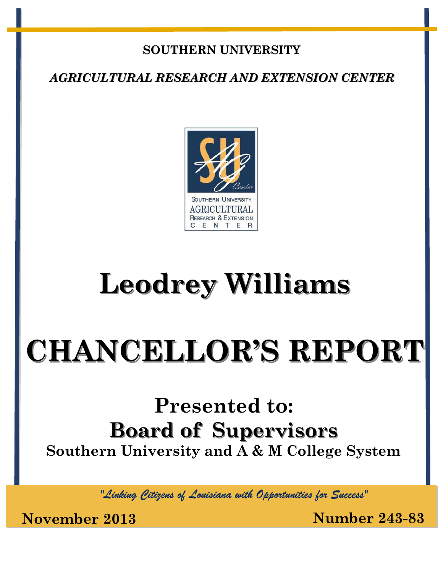## **SOUTHERN UNIVERSITY**

*AGRICULTURAL RESEARCH AND EXTENSION CENTER*



## **Leodrey Williams**

# **CHANCELLOR'S REPORT**

## **Presented to: Board of Supervisors Southern University and A & M College System**

*"Linking Citizens of Louisiana with Opportunities for Success"*

**November 2013 Number 243-83**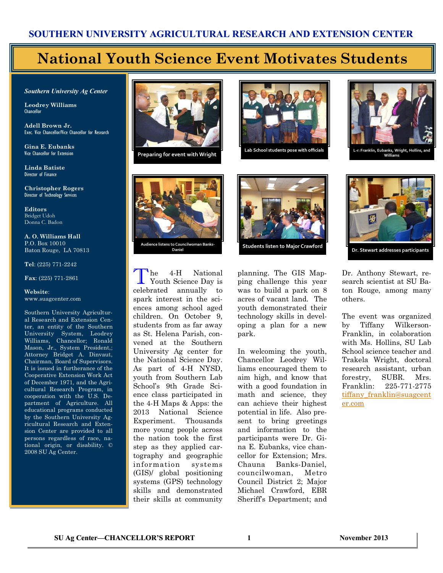## **National Youth Science Event Motivates Students**

*Southern University Ag Center*

**Leodrey Williams**  Chancellor

**Adell Brown Jr.**  Exec. Vice Chancellor/Vice Chancellor for Research

**Gina E. Eubanks** Vice Chancellor for Extension

**Linda Batiste** Director of Finance

**Christopher Rogers** Director of Technology Services

**Editors** Bridget Udoh Donna C. Badon

**A. O. Williams Hall** P.O. Box 10010 Baton Rouge, LA 70813

**Tel**: (225) 771-2242

**Fax**: (225) 771-2861

#### **Website**: www.suagcenter.com

Southern University Agricultural Research and Extension Center, an entity of the Southern University System, Leodrey Williams, Chancellor; Ronald Mason, Jr., System President,; Attorney Bridget A. Dinvaut, Chairman, Board of Supervisors. It is issued in furtherance of the Cooperative Extension Work Act of December 1971, and the Agricultural Research Program, in cooperation with the U.S. Department of Agriculture. All educational programs conducted by the Southern University Agricultural Research and Extension Center are provided to all persons regardless of race, national origin, or disability. © 2008 SU Ag Center.



**Preparing for event with Wright**





**Williams**



T he 4-H National Youth Science Day is celebrated annually to spark interest in the sciences among school aged children. On October 9, students from as far away as St. Helena Parish, convened at the Southern University Ag center for the National Science Day. As part of 4-H NYSD, youth from Southern Lab School's 9th Grade Science class participated in the 4-H Maps & Apps: the 2013 National Science Experiment. Thousands more young people across the nation took the first step as they applied cartography and geographic information systems (GIS)/ global positioning systems (GPS) technology skills and demonstrated their skills at community



planning. The GIS Mapping challenge this year was to build a park on 8 acres of vacant land. The youth demonstrated their technology skills in developing a plan for a new park.

In welcoming the youth, Chancellor Leodrey Williams encouraged them to aim high, and know that with a good foundation in math and science, they can achieve their highest potential in life. Also present to bring greetings and information to the participants were Dr. Gina E. Eubanks, vice chancellor for Extension; Mrs. Chauna Banks-Daniel, councilwoman, Metro Council District 2; Major Michael Crawford, EBR Sheriff's Department; and



**Dr. Stewart addresses participants**

Dr. Anthony Stewart, research scientist at SU Baton Rouge, among many others.

The event was organized by Tiffany Wilkerson-Franklin, in colaboration with Ms. Hollins, SU Lab School science teacher and Trakela Wright, doctoral research assistant, urban forestry, SUBR. Mrs. Franklin: 225-771-2775 tiffany franklin@suagcent [er.com](mailto:tiffany_franklin@suagcenter.com)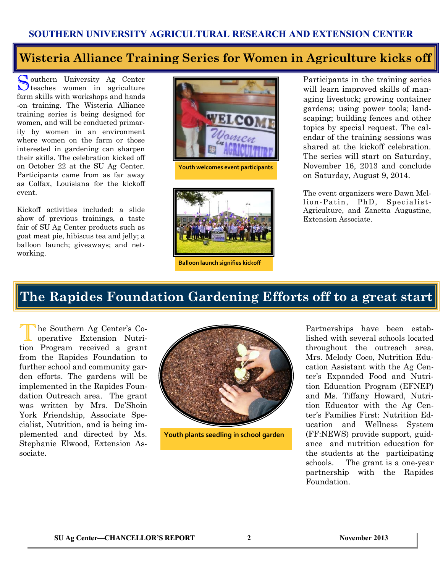### **Wisteria Alliance Training Series for Women in Agriculture kicks off**

S outhern University Ag Center teaches women in agriculture farm skills with workshops and hands -on training. The Wisteria Alliance training series is being designed for women, and will be conducted primarily by women in an environment where women on the farm or those interested in gardening can sharpen their skills. The celebration kicked off on October 22 at the SU Ag Center. Participants came from as far away as Colfax, Louisiana for the kickoff event.

Kickoff activities included: a slide show of previous trainings, a taste fair of SU Ag Center products such as goat meat pie, hibiscus tea and jelly; a balloon launch; giveaways; and networking.



**Youth welcomes event participants**



**Balloon launch signifies kickoff**

Participants in the training series will learn improved skills of managing livestock; growing container gardens; using power tools; landscaping; building fences and other topics by special request. The calendar of the training sessions was shared at the kickoff celebration. The series will start on Saturday, November 16, 2013 and conclude on Saturday, August 9, 2014.

The event organizers were Dawn Mellion-Patin, PhD, Specialist-Agriculture, and Zanetta Augustine, Extension Associate.

## **The Rapides Foundation Gardening Efforts off to a great start**

T he Southern Ag Center's Cooperative Extension Nutrition Program received a grant from the Rapides Foundation to further school and community garden efforts. The gardens will be implemented in the Rapides Foundation Outreach area. The grant was written by Mrs. De'Shoin York Friendship, Associate Specialist, Nutrition, and is being implemented and directed by Ms. Stephanie Elwood, Extension Associate.



**Youth plants seedling in school garden**

Partnerships have been established with several schools located throughout the outreach area. Mrs. Melody Coco, Nutrition Education Assistant with the Ag Center's Expanded Food and Nutrition Education Program (EFNEP) and Ms. Tiffany Howard, Nutrition Educator with the Ag Center's Families First: Nutrition Education and Wellness System (FF:NEWS) provide support, guidance and nutrition education for the students at the participating schools. The grant is a one-year partnership with the Rapides Foundation.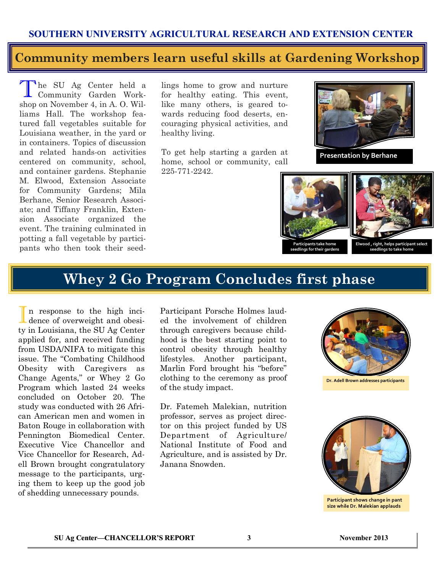#### **Community members learn useful skills at Gardening Workshop**

The SU Ag Center held a<br>Community Garden Workhe SU Ag Center held a shop on November 4, in A. O. Williams Hall. The workshop featured fall vegetables suitable for Louisiana weather, in the yard or in containers. Topics of discussion and related hands-on activities centered on community, school, and container gardens. Stephanie M. Elwood, Extension Associate for Community Gardens; Mila Berhane, Senior Research Associate; and Tiffany Franklin, Extension Associate organized the event. The training culminated in potting a fall vegetable by participants who then took their seed-

lings home to grow and nurture for healthy eating. This event, like many others, is geared towards reducing food deserts, encouraging physical activities, and healthy living.

To get help starting a garden at home, school or community, call 225-771-2242.



**Presentation by Berhane**



**Participants take home seedlings for their gardens** **Elwood , right, helps participant select seedlings to take home**

### **Whey 2 Go Program Concludes first phase**

I n response to the high incidence of overweight and obesity in Louisiana, the SU Ag Center applied for, and received funding from USDA/NIFA to mitigate this issue. The "Combating Childhood Obesity with Caregivers as Change Agents," or Whey 2 Go Program which lasted 24 weeks concluded on October 20. The study was conducted with 26 African American men and women in Baton Rouge in collaboration with Pennington Biomedical Center. Executive Vice Chancellor and Vice Chancellor for Research, Adell Brown brought congratulatory message to the participants, urging them to keep up the good job of shedding unnecessary pounds.

Participant Porsche Holmes lauded the involvement of children through caregivers because childhood is the best starting point to control obesity through healthy lifestyles. Another participant, Marlin Ford brought his "before" clothing to the ceremony as proof of the study impact.

Dr. Fatemeh Malekian, nutrition professor, serves as project director on this project funded by US Department of Agriculture/ National Institute of Food and Agriculture, and is assisted by Dr. Janana Snowden.



**Dr. Adell Brown addresses participants**



**Participant shows change in pant size while Dr. Malekian applauds**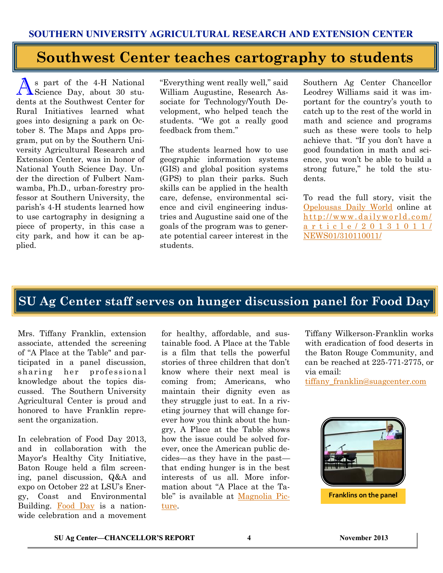## **Southwest Center teaches cartography to students**

As part of the 4-H National<br>Science Day, about 30 stu-Science Day, about 30 students at the Southwest Center for Rural Initiatives learned what goes into designing a park on October 8. The Maps and Apps program, put on by the Southern University Agricultural Research and Extension Center, was in honor of National Youth Science Day. Under the direction of Fulbert Namwamba, Ph.D., urban-forestry professor at Southern University, the parish's 4-H students learned how to use cartography in designing a piece of property, in this case a city park, and how it can be applied.

"Everything went really well," said William Augustine, Research Associate for Technology/Youth Development, who helped teach the students. "We got a really good feedback from them."

The students learned how to use geographic information systems (GIS) and global position systems (GPS) to plan their parks. Such skills can be applied in the health care, defense, environmental science and civil engineering industries and Augustine said one of the goals of the program was to generate potential career interest in the students.

Southern Ag Center Chancellor Leodrey Williams said it was important for the country's youth to catch up to the rest of the world in math and science and programs such as these were tools to help achieve that. "If you don't have a good foundation in math and science, you won't be able to build a strong future," he told the students.

To read the full story, visit the [Opelousas Daily World](http://www.dailyworld.com/article/20131011/NEWS01/310110011/) online at http://www.dailyworld.com/ [a r t i c l e / 2 0 1 3 1 0 1 1 /](http://www.dailyworld.com/article/20131011/NEWS01/310110011/) [NEWS01/310110011/](http://www.dailyworld.com/article/20131011/NEWS01/310110011/)

## **SU Ag Center staff serves on hunger discussion panel for Food Day**

Mrs. Tiffany Franklin, extension associate, attended the screening of "A Place at the Table" and participated in a panel discussion, sharing her professional knowledge about the topics discussed. The Southern University Agricultural Center is proud and honored to have Franklin represent the organization.

In celebration of Food Day 2013, and in collaboration with the Mayor's Healthy City Initiative, Baton Rouge held a film screening, panel discussion, Q&A and expo on October 22 at LSU's Energy, Coast and Environmental Building. [Food Day](http://www.foodday.org/healthyBR) is a nationwide celebration and a movement for healthy, affordable, and sustainable food. A Place at the Table is a film that tells the powerful stories of three children that don't know where their next meal is coming from; Americans, who maintain their dignity even as they struggle just to eat. In a riveting journey that will change forever how you think about the hungry, A Place at the Table shows how the issue could be solved forever, once the American public decides—as they have in the past that ending hunger is in the best interests of us all. More information about "A Place at the Table" is available at [Magnolia Pic](http://www.magpictures.com/aplaceatthetable/)[ture.](http://www.magpictures.com/aplaceatthetable/) 

Tiffany Wilkerson-Franklin works with eradication of food deserts in the Baton Rouge Community, and can be reached at 225-771-2775, or via email:

[tiffany\\_franklin@suagcenter.com](mailto:tiffany_franklin@suagcenter.com)



**Franklins on the panel**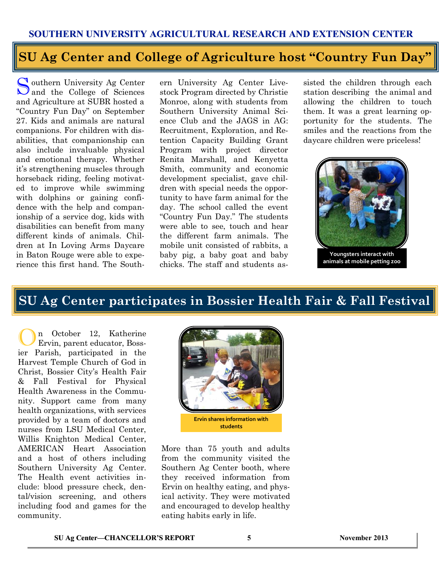## **SU Ag Center and College of Agriculture host "Country Fun Day"**

Southern University Ag Center<br>and the College of Sciences outhern University Ag Center and Agriculture at SUBR hosted a "Country Fun Day" on September 27. Kids and animals are natural companions. For children with disabilities, that companionship can also include invaluable physical and emotional therapy. Whether it's strengthening muscles through horseback riding, feeling motivated to improve while swimming with dolphins or gaining confidence with the help and companionship of a service dog, kids with disabilities can benefit from many different kinds of animals. Children at In Loving Arms Daycare in Baton Rouge were able to experience this first hand. The South-

ern University Ag Center Livestock Program directed by Christie Monroe, along with students from Southern University Animal Science Club and the JAGS in AG: Recruitment, Exploration, and Retention Capacity Building Grant Program with project director Renita Marshall, and Kenyetta Smith, community and economic development specialist, gave children with special needs the opportunity to have farm animal for the day. The school called the event "Country Fun Day." The students were able to see, touch and hear the different farm animals. The mobile unit consisted of rabbits, a baby pig, a baby goat and baby chicks. The staff and students as-

sisted the children through each station describing the animal and allowing the children to touch them. It was a great learning opportunity for the students. The smiles and the reactions from the daycare children were priceless!



**Youngsters interact with animals at mobile petting zoo**

### **SU Ag Center participates in Bossier Health Fair & Fall Festival**

On October 12, Katherine Ervin, parent educator, Bossier Parish, participated in the Harvest Temple Church of God in Christ, Bossier City's Health Fair & Fall Festival for Physical Health Awareness in the Community. Support came from many health organizations, with services provided by a team of doctors and nurses from LSU Medical Center, Willis Knighton Medical Center, AMERICAN Heart Association and a host of others including Southern University Ag Center. The Health event activities include: blood pressure check, dental/vision screening, and others including food and games for the community.



More than 75 youth and adults from the community visited the Southern Ag Center booth, where they received information from Ervin on healthy eating, and physical activity. They were motivated and encouraged to develop healthy eating habits early in life.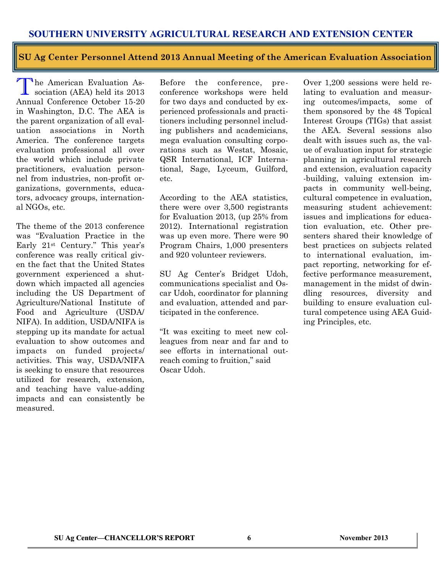**SU Ag Center Personnel Attend 2013 Annual Meeting of the American Evaluation Association**

The American Evaluation Association (AEA) held its 2013 sociation (AEA) held its 2013 Annual Conference October 15-20 in Washington, D.C. The AEA is the parent organization of all evaluation associations in North America. The conference targets evaluation professional all over the world which include private practitioners, evaluation personnel from industries, non-profit organizations, governments, educators, advocacy groups, international NGOs, etc.

The theme of the 2013 conference was "Evaluation Practice in the Early 21st Century." This year's conference was really critical given the fact that the United States government experienced a shutdown which impacted all agencies including the US Department of Agriculture/National Institute of Food and Agriculture (USDA/ NIFA). In addition, USDA/NIFA is stepping up its mandate for actual evaluation to show outcomes and impacts on funded projects/ activities. This way, USDA/NIFA is seeking to ensure that resources utilized for research, extension, and teaching have value-adding impacts and can consistently be measured.

Before the conference, preconference workshops were held for two days and conducted by experienced professionals and practitioners including personnel including publishers and academicians, mega evaluation consulting corporations such as Westat, Mosaic, QSR International, ICF International, Sage, Lyceum, Guilford, etc.

According to the AEA statistics, there were over 3,500 registrants for Evaluation 2013, (up 25% from 2012). International registration was up even more. There were 90 Program Chairs, 1,000 presenters and 920 volunteer reviewers.

SU Ag Center's Bridget Udoh, communications specialist and Oscar Udoh, coordinator for planning and evaluation, attended and participated in the conference.

"It was exciting to meet new colleagues from near and far and to see efforts in international outreach coming to fruition," said Oscar Udoh.

Over 1,200 sessions were held relating to evaluation and measuring outcomes/impacts, some of them sponsored by the 48 Topical Interest Groups (TIGs) that assist the AEA. Several sessions also dealt with issues such as, the value of evaluation input for strategic planning in agricultural research and extension, evaluation capacity -building, valuing extension impacts in community well-being, cultural competence in evaluation, measuring student achievement: issues and implications for education evaluation, etc. Other presenters shared their knowledge of best practices on subjects related to international evaluation, impact reporting, networking for effective performance measurement, management in the midst of dwindling resources, diversity and building to ensure evaluation cultural competence using AEA Guiding Principles, etc.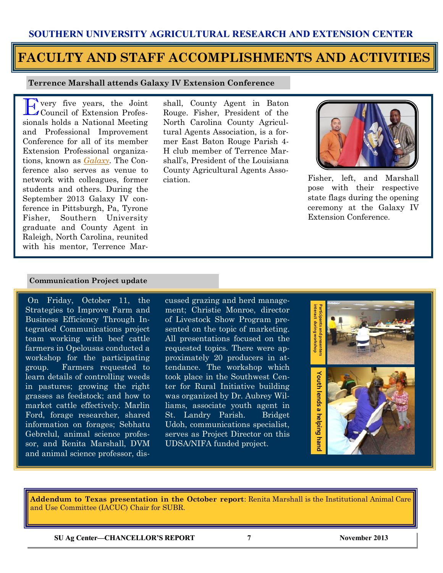## **FACULTY AND STAFF ACCOMPLISHMENTS AND ACTIVITIES**

#### **Terrence Marshall attends Galaxy IV Extension Conference**

E very five years, the Joint Council of Extension Professionals holds a National Meeting and Professional Improvement Conference for all of its member Extension Professional organizations, known as *[Galaxy.](http://www.cvent.com/events/galaxy-iv-registration-for-exhibitors-and-sponsors/event-summary-a3677566240f4e92a8be142c1641889a.aspx)* The Conference also serves as venue to network with colleagues, former students and others. During the September 2013 Galaxy IV conference in Pittsburgh, Pa, Tyrone Fisher, Southern University graduate and County Agent in Raleigh, North Carolina, reunited with his mentor, Terrence Mar-

shall, County Agent in Baton Rouge. Fisher, President of the North Carolina County Agricultural Agents Association, is a former East Baton Rouge Parish 4- H club member of Terrence Marshall's, President of the Louisiana County Agricultural Agents Association.



Fisher, left, and Marshall pose with their respective state flags during the opening ceremony at the Galaxy IV Extension Conference.

#### **Communication Project update**

On Friday, October 11, the Strategies to Improve Farm and Business Efficiency Through Integrated Communications project team working with beef cattle farmers in Opelousas conducted a workshop for the participating group. Farmers requested to learn details of controlling weeds in pastures; growing the right grasses as feedstock; and how to market cattle effectively. Marlin Ford, forage researcher, shared information on forages; Sebhatu Gebrelul, animal science professor, and Renita Marshall, DVM and animal science professor, discussed grazing and herd management; Christie Monroe, director of Livestock Show Program presented on the topic of marketing. All presentations focused on the requested topics. There were approximately 20 producers in attendance. The workshop which took place in the Southwest Center for Rural Initiative building was organized by Dr. Aubrey Williams, associate youth agent in St. Landry Parish. Bridget Udoh, communications specialist, serves as Project Director on this UDSA/NIFA funded project.



**Addendum to Texas presentation in the October report**: Renita Marshall is the Institutional Animal Care and Use Committee (IACUC) Chair for SUBR.